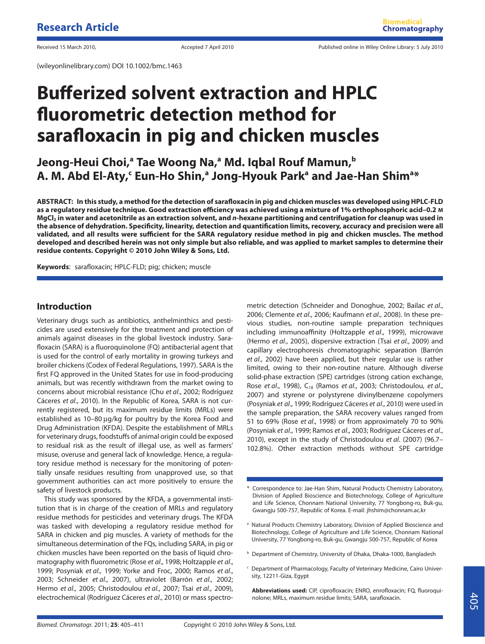(wileyonlinelibrary.com) DOI 10.1002/bmc.1463

# **Bufferized solvent extraction and HPLC fluorometric detection method for sarafloxacin in pig and chicken muscles**

**Jeong-Heui Choi,<sup>a</sup> Tae Woong Na,<sup>a</sup> Md. Igbal Rouf Mamun,<sup>b</sup>**  $A$ . M. Abd El-Aty, $\cdot$  Eun-Ho Shin, $\cdot$  Jong-Hyouk Park $\cdot$  and Jae-Han Shim $\cdot$ \*

**ABSTRACT: In this study, a method for the detection of sarafloxacin in pig and chicken muscles was developed using HPLC-FLD as a regulatory residue technique. Good extraction efficiency was achieved using a mixture of 1% orthophosphoric acid–0.2 M MgCl2 in water and acetonitrile as an extraction solvent, and n-hexane partitioning and centrifugation for cleanup was used in the absence of dehydration. Specificity, linearity, detection and quantification limits, recovery, accuracy and precision were all validated, and all results were sufficient for the SARA regulatory residue method in pig and chicken muscles. The method developed and described herein was not only simple but also reliable, and was applied to market samples to determine their residue contents. Copyright © 2010 John Wiley & Sons, Ltd.**

**Keywords**: sarafloxacin; HPLC-FLD; pig; chicken; muscle

# **Introduction**

Veterinary drugs such as antibiotics, anthelminthics and pesticides are used extensively for the treatment and protection of animals against diseases in the global livestock industry. Sarafloxacin (SARA) is a fluoroquinolone (FQ) antibacterial agent that is used for the control of early mortality in growing turkeys and broiler chickens (Codex of Federal Regulations, 1997). SARA is the first FQ approved in the United States for use in food-producing animals, but was recently withdrawn from the market owing to concerns about microbial resistance (Chu et al., 2002; Rodríguez Cáceres et al., 2010). In the Republic of Korea, SARA is not currently registered, but its maximum residue limits (MRLs) were established as 10–80 µg/kg for poultry by the Korea Food and Drug Administration (KFDA). Despite the establishment of MRLs for veterinary drugs, foodstuffs of animal origin could be exposed to residual risk as the result of illegal use, as well as farmers' misuse, overuse and general lack of knowledge. Hence, a regulatory residue method is necessary for the monitoring of potentially unsafe residues resulting from unapproved use, so that government authorities can act more positively to ensure the safety of livestock products.

This study was sponsored by the KFDA, a governmental institution that is in charge of the creation of MRLs and regulatory residue methods for pesticides and veterinary drugs. The KFDA was tasked with developing a regulatory residue method for SARA in chicken and pig muscles. A variety of methods for the simultaneous determination of the FQs, including SARA, in pig or chicken muscles have been reported on the basis of liquid chromatography with fluorometric (Rose et al., 1998; Holtzapple et al., 1999; Posyniak et al., 1999; Yorke and Froc, 2000; Ramos et al., 2003; Schneider et al., 2007), ultraviolet (Barrón et al., 2002; Hermo et al., 2005; Christodoulou et al., 2007; Tsai et al., 2009), electrochemical (Rodríguez Cáceres et al., 2010) or mass spectro-

metric detection (Schneider and Donoghue, 2002; Bailac et al., 2006; Clemente et al., 2006; Kaufmann et al., 2008). In these previous studies, non-routine sample preparation techniques including immunoaffinity (Holtzapple et al., 1999), microwave (Hermo et al., 2005), dispersive extraction (Tsai et al., 2009) and capillary electrophoresis chromatographic separation (Barrón et al., 2002) have been applied, but their regular use is rather limited, owing to their non-routine nature. Although diverse solid-phase extraction (SPE) cartridges (strong cation exchange, Rose et al., 1998), C<sub>18</sub> (Ramos et al., 2003; Christodoulou, et al., 2007) and styrene or polystyrene divinylbenzene copolymers (Posyniak et al., 1999; Rodríguez Cáceres et al., 2010) were used in the sample preparation, the SARA recovery values ranged from 51 to 69% (Rose et al., 1998) or from approximately 70 to 90% (Posyniak et al., 1999; Ramos et al., 2003; Rodríguez Cáceres et al., 2010), except in the study of Christodoulou et al. (2007) (96.7– 102.8%). Other extraction methods without SPE cartridge

- <sup>a</sup> Natural Products Chemistry Laboratory, Division of Applied Bioscience and Biotechnology, College of Agriculture and Life Science, Chonnam National University, 77 Yongbong-ro, Buk-gu, Gwangju 500-757, Republic of Korea
- **b** Department of Chemistry, University of Dhaka, Dhaka-1000, Bangladesh
- Department of Pharmacology, Faculty of Veterinary Medicine, Cairo University, 12211-Giza, Egypt

**Abbreviations used:** CIP, ciprofloxacin; ENRO, enrofloxacin; FQ, fluoroquinolone; MRLs, maximum residue limits; SARA, sarafloxacin.

Correspondence to: Jae-Han Shim, Natural Products Chemistry Laboratory, Division of Applied Bioscience and Biotechnology, College of Agriculture and Life Science, Chonnam National University, 77 Yongbong-ro, Buk-gu, Gwangju 500-757, Republic of Korea. E-mail: jhshim@chonnam.ac.kr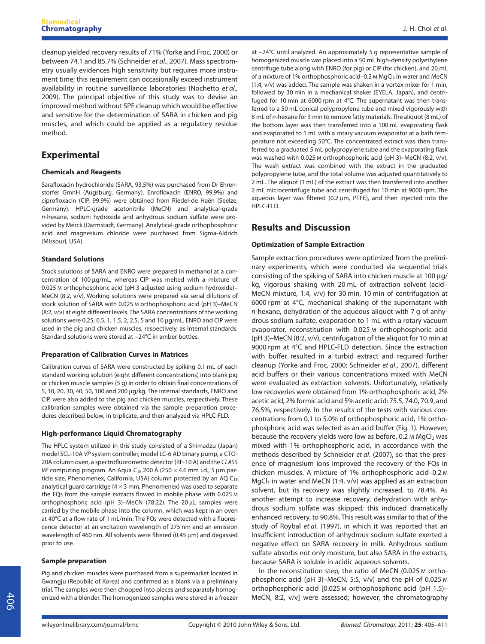cleanup yielded recovery results of 71% (Yorke and Froc, 2000) or between 74.1 and 85.7% (Schneider et al., 2007). Mass spectrometry usually evidences high sensitivity but requires more instrument time; this requirement can occasionally exceed instrument availability in routine surveillance laboratories (Nochetto et al., 2009). The principal objective of this study was to devise an improved method without SPE cleanup which would be effective and sensitive for the determination of SARA in chicken and pig muscles, and which could be applied as a regulatory residue method.

# **Experimental**

## **Chemicals and Reagents**

Sarafloxacin hydrochloride (SARA, 93.5%) was purchased from Dr Ehrenstorfer GmnH (Augsburg, Germany). Enrofloxacin (ENRO, 99.9%) and ciprofloxacin (CIP, 99.9%) were obtained from Riedel-de Haën (Seelze, Germany). HPLC-grade acetonitrile (MeCN) and analytical-grade n-hexane, sodium hydroxide and anhydrous sodium sulfate were provided by Merck (Darmstadt, Germany). Analytical-grade orthophosphoric acid and magnesium chloride were purchased from Sigma-Aldrich (Missouri, USA).

## **Standard Solutions**

Stock solutions of SARA and ENRO were prepared in methanol at a concentration of 100 µg/mL, whereas CIP was melted with a mixture of 0.025 M orthophosphoric acid (pH 3 adjusted using sodium hydroxide)– MeCN (8:2, v/v). Working solutions were prepared via serial dilutions of stock solution of SARA with 0.025 M orthophosphoric acid (pH 3)–MeCN (8:2, v/v) at eight different levels. The SARA concentrations of the working solutions were 0.25, 0.5, 1, 1.5, 2, 2.5, 5 and 10 µg/mL. ENRO and CIP were used in the pig and chicken muscles, respectively, as internal standards. Standard solutions were stored at -24°C in amber bottles.

#### **Preparation of Calibration Curves in Matrices**

Calibration curves of SARA were constructed by spiking 0.1 mL of each standard working solution (eight different concentrations) into blank pig or chicken muscle samples (5 g) in order to obtain final concentrations of 5, 10, 20, 30, 40, 50, 100 and 200 µg/kg. The internal standards, ENRO and CIP, were also added to the pig and chicken muscles, respectively. These calibration samples were obtained via the sample preparation procedures described below, in triplicate, and then analyzed via HPLC-FLD.

## **High-performance Liquid Chromatography**

The HPLC system utilized in this study consisted of a Shimadzu (Japan) model SCL-10A VP system controller, model LC-6 AD binary pump, a CTO-20A column oven, a spectrofluorometric detector (RF-10 A) and the CLASS VP computing program. An Aqua C<sub>18</sub> 200 Å (250  $\times$  4.6 mm i.d., 5 µm particle size, Phenomenex, California, USA) column protected by an AQ  $C_{18}$ analytical guard cartridge ( $4 \times 3$  mm, Phenomenex) was used to separate the FQs from the sample extracts flowed in mobile phase with 0.025 M orthophosphoric acid (pH 3)-MeCN (78:22). The 20  $\mu$ L samples were carried by the mobile phase into the column, which was kept in an oven at 40°C at a flow rate of 1 mL/min. The FQs were detected with a fluorescence detector at an excitation wavelength of 275 nm and an emission wavelength of 460 nm. All solvents were filtered (0.45  $\mu$ m) and degassed prior to use.

#### **Sample preparation**

Pig and chicken muscles were purchased from a supermarket located in Gwangju (Republic of Korea) and confirmed as a blank via a preliminary trial. The samples were then chopped into pieces and separately homogenized with a blender. The homogenized samples were stored in a freezer

at -24°C until analyzed. An approximately 5 g representative sample of homogenized muscle was placed into a 50 mL high-density polyethylene centrifuge tube along with ENRO (for pig) or CIP (for chicken), and 20 mL of a mixture of 1% orthophosphoric acid–0.2 M MgCl<sub>2</sub> in water and MeCN (1:4, v/v) was added. The sample was shaken in a vortex mixer for 1 min, followed by 30 min in a mechanical shaker (EYELA, Japan), and centrifuged for 10 min at 6000 rpm at 4°C. The supernatant was then transferred to a 50 mL conical polypropylene tube and mixed vigorously with 8 mL of n-hexane for 3 min to remove fatty materials. The aliquot (8 mL) of the bottom layer was then transferred into a 100 mL evaporating flask and evaporated to 1 mL with a rotary vacuum evaporator at a bath temperature not exceeding 50°C. The concentrated extract was then transferred to a graduated 5 mL polypropylene tube and the evaporating flask was washed with 0.025 M orthophosphoric acid (pH 3)–MeCN (8:2, v/v). The wash extract was combined with the extract in the graduated polypropylene tube, and the total volume was adjusted quantitatively to 2 mL. The aliquot (1 mL) of the extract was then transferred into another 2 mL microcentrifuge tube and centrifuged for 10 min at 9000 rpm. The aqueous layer was filtered (0.2  $\mu$ m, PTFE), and then injected into the HPLC-FLD.

# **Results and Discussion**

## **Optimization of Sample Extraction**

Sample extraction procedures were optimized from the preliminary experiments, which were conducted via sequential trials consisting of the spiking of SARA into chicken muscle at 100  $\mu$ g/ kg, vigorous shaking with 20 mL of extraction solvent (acid– MeCN mixture, 1:4, v/v) for 30 min, 10 min of centrifugation at 6000 rpm at 4°C, mechanical shaking of the supernatant with n-hexane, dehydration of the aqueous aliquot with 7 g of anhydrous sodium sulfate, evaporation to 1 mL with a rotary vacuum evaporator, reconstitution with 0.025 M orthophosphoric acid (pH 3)–MeCN (8:2, v/v), centrifugation of the aliquot for 10 min at 9000 rpm at 4°C and HPLC-FLD detection. Since the extraction with buffer resulted in a turbid extract and required further cleanup (Yorke and Froc, 2000; Schneider et al., 2007), different acid buffers or their various concentrations mixed with MeCN were evaluated as extraction solvents. Unfortunately, relatively low recoveries were obtained from 1% orthophosphoric acid, 2% acetic acid, 2% formic acid and 5% acetic acid: 75.5, 74.0, 70.9, and 76.5%, respectively. In the results of the tests with various concentrations from 0.1 to 5.0% of orthophosphoric acid, 1% orthophosphoric acid was selected as an acid buffer (Fig. 1). However, because the recovery yields were low as before, 0.2  $M$  MgCl<sub>2</sub> was mixed with 1% orthophosphoric acid, in accordance with the methods described by Schneider et al. (2007), so that the presence of magnesium ions improved the recovery of the FQs in chicken muscles. A mixture of 1% orthophosphoric acid–0.2 M  $MgCl<sub>2</sub>$  in water and MeCN (1:4, v/v) was applied as an extraction solvent, but its recovery was slightly increased, to 78.4%. As another attempt to increase recovery, dehydration with anhydrous sodium sulfate was skipped; this induced dramatically enhanced recovery, to 90.8%. This result was similar to that of the study of Roybal et al. (1997), in which it was reported that an insufficient introduction of anhydrous sodium sulfate exerted a negative effect on SARA recovery in milk. Anhydrous sodium sulfate absorbs not only moisture, but also SARA in the extracts, because SARA is soluble in acidic aqueous solvents.

In the reconstitution step, the ratio of MeCN (0.025 M orthophosphoric acid (pH 3)–MeCN, 5:5, v/v) and the pH of 0.025 M orthophosphoric acid [0.025 M orthophosphoric acid (pH 1.5)– MeCN, 8:2, v/v] were assessed; however, the chromatography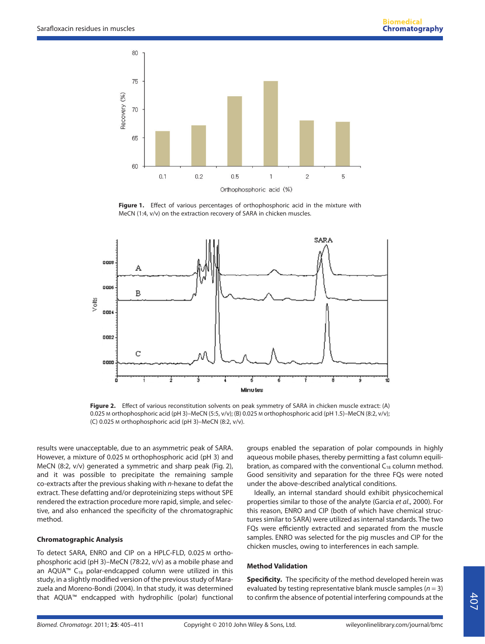

**Figure 1.** Effect of various percentages of orthophosphoric acid in the mixture with MeCN (1:4, v/v) on the extraction recovery of SARA in chicken muscles.



**Figure 2.** Effect of various reconstitution solvents on peak symmetry of SARA in chicken muscle extract: (A) 0.025 M orthophosphoric acid (pH 3)–MeCN (5:5, v/v); (B) 0.025 M orthophosphoric acid (pH 1.5)–MeCN (8:2, v/v); (C) 0.025 M orthophosphoric acid (pH 3)–MeCN (8:2, v/v).

results were unacceptable, due to an asymmetric peak of SARA. However, a mixture of 0.025 M orthophosphoric acid (pH 3) and MeCN (8:2, v/v) generated a symmetric and sharp peak (Fig. 2), and it was possible to precipitate the remaining sample co-extracts after the previous shaking with n-hexane to defat the extract. These defatting and/or deproteinizing steps without SPE rendered the extraction procedure more rapid, simple, and selective, and also enhanced the specificity of the chromatographic method.

# **Chromatographic Analysis**

To detect SARA, ENRO and CIP on a HPLC-FLD, 0.025 M orthophosphoric acid (pH 3)–MeCN (78:22, v/v) as a mobile phase and an AQUA<sup>™</sup> C<sub>18</sub> polar-endcapped column were utilized in this study, in a slightly modified version of the previous study of Marazuela and Moreno-Bondi (2004). In that study, it was determined that AQUA™ endcapped with hydrophilic (polar) functional

groups enabled the separation of polar compounds in highly aqueous mobile phases, thereby permitting a fast column equilibration, as compared with the conventional  $C_{18}$  column method. Good sensitivity and separation for the three FQs were noted under the above-described analytical conditions.

Ideally, an internal standard should exhibit physicochemical properties similar to those of the analyte (Garcia et al., 2000). For this reason, ENRO and CIP (both of which have chemical structures similar to SARA) were utilized as internal standards. The two FQs were efficiently extracted and separated from the muscle samples. ENRO was selected for the pig muscles and CIP for the chicken muscles, owing to interferences in each sample.

# **Method Validation**

**Specificity.** The specificity of the method developed herein was evaluated by testing representative blank muscle samples ( $n = 3$ ) to confirm the absence of potential interfering compounds at the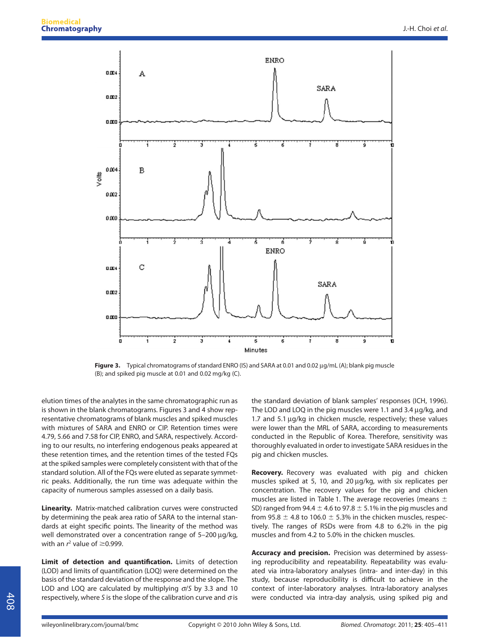

Figure 3. Typical chromatograms of standard ENRO (IS) and SARA at 0.01 and 0.02 µg/mL (A); blank pig muscle (B); and spiked pig muscle at 0.01 and 0.02 mg/kg (C).

elution times of the analytes in the same chromatographic run as is shown in the blank chromatograms. Figures 3 and 4 show representative chromatograms of blank muscles and spiked muscles with mixtures of SARA and ENRO or CIP. Retention times were 4.79, 5.66 and 7.58 for CIP, ENRO, and SARA, respectively. According to our results, no interfering endogenous peaks appeared at these retention times, and the retention times of the tested FQs at the spiked samples were completely consistent with that of the standard solution. All of the FQs were eluted as separate symmetric peaks. Additionally, the run time was adequate within the capacity of numerous samples assessed on a daily basis.

**Linearity.** Matrix-matched calibration curves were constructed by determining the peak area ratio of SARA to the internal standards at eight specific points. The linearity of the method was well demonstrated over a concentration range of  $5-200 \mu q/kg$ , with an  $r^2$  value of  $\geq$ 0.999.

**Limit of detection and quantification.** Limits of detection (LOD) and limits of quantification (LOQ) were determined on the basis of the standard deviation of the response and the slope. The LOD and LOQ are calculated by multiplying  $\sigma$ /S by 3.3 and 10 respectively, where S is the slope of the calibration curve and  $\sigma$  is the standard deviation of blank samples' responses (ICH, 1996). The LOD and LOQ in the pig muscles were 1.1 and 3.4 ug/kg, and 1.7 and 5.1 ug/kg in chicken muscle, respectively; these values were lower than the MRL of SARA, according to measurements conducted in the Republic of Korea. Therefore, sensitivity was thoroughly evaluated in order to investigate SARA residues in the pig and chicken muscles.

**Recovery.** Recovery was evaluated with pig and chicken muscles spiked at 5, 10, and 20 µg/kg, with six replicates per concentration. The recovery values for the pig and chicken muscles are listed in Table 1. The average recoveries (means  $\pm$ SD) ranged from 94.4  $\pm$  4.6 to 97.8  $\pm$  5.1% in the pig muscles and from 95.8  $\pm$  4.8 to 106.0  $\pm$  5.3% in the chicken muscles, respectively. The ranges of RSDs were from 4.8 to 6.2% in the pig muscles and from 4.2 to 5.0% in the chicken muscles.

**Accuracy and precision.** Precision was determined by assessing reproducibility and repeatability. Repeatability was evaluated via intra-laboratory analyses (intra- and inter-day) in this study, because reproducibility is difficult to achieve in the context of inter-laboratory analyses. Intra-laboratory analyses were conducted via intra-day analysis, using spiked pig and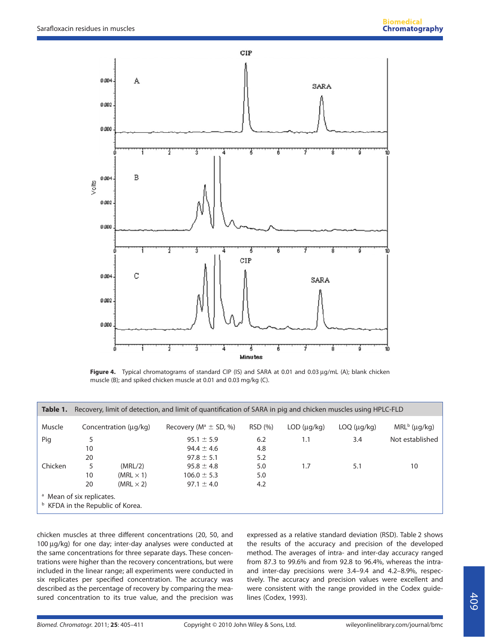

Figure 4. Typical chromatograms of standard CIP (IS) and SARA at 0.01 and 0.03 µg/mL (A); blank chicken muscle (B); and spiked chicken muscle at 0.01 and 0.03 mg/kg (C).

| Table 1.                                                                            | Recovery, limit of detection, and limit of quantification of SARA in pig and chicken muscles using HPLC-FLD |                            |                              |         |             |             |                 |  |
|-------------------------------------------------------------------------------------|-------------------------------------------------------------------------------------------------------------|----------------------------|------------------------------|---------|-------------|-------------|-----------------|--|
| Muscle                                                                              |                                                                                                             | Concentration $(\mu q/kg)$ | Recovery ( $M^a \pm SD$ , %) | RSD (%) | LOD (uq/kg) | LOQ (µg/kg) | $MRLb$ (µg/kg)  |  |
| Pig                                                                                 | 5                                                                                                           |                            | $95.1 \pm 5.9$               | 6.2     | 1.1         | 3.4         | Not established |  |
|                                                                                     | 10                                                                                                          |                            | $94.4 \pm 4.6$               | 4.8     |             |             |                 |  |
|                                                                                     | 20                                                                                                          |                            | $97.8 \pm 5.1$               | 5.2     |             |             |                 |  |
| Chicken                                                                             | 5                                                                                                           | (MRL/2)                    | $95.8 \pm 4.8$               | 5.0     | 1.7         | 5.1         | 10              |  |
|                                                                                     | 10                                                                                                          | $(MRL \times 1)$           | $106.0 \pm 5.3$              | 5.0     |             |             |                 |  |
|                                                                                     | 20                                                                                                          | $(MRL \times 2)$           | $97.1 \pm 4.0$               | 4.2     |             |             |                 |  |
| <sup>a</sup> Mean of six replicates.<br><sup>b</sup> KFDA in the Republic of Korea. |                                                                                                             |                            |                              |         |             |             |                 |  |

chicken muscles at three different concentrations (20, 50, and 100 µg/kg) for one day; inter-day analyses were conducted at the same concentrations for three separate days. These concentrations were higher than the recovery concentrations, but were included in the linear range; all experiments were conducted in six replicates per specified concentration. The accuracy was described as the percentage of recovery by comparing the measured concentration to its true value, and the precision was

expressed as a relative standard deviation (RSD). Table 2 shows the results of the accuracy and precision of the developed method. The averages of intra- and inter-day accuracy ranged from 87.3 to 99.6% and from 92.8 to 96.4%, whereas the intraand inter-day precisions were 3.4–9.4 and 4.2–8.9%, respectively. The accuracy and precision values were excellent and were consistent with the range provided in the Codex guidelines (Codex, 1993).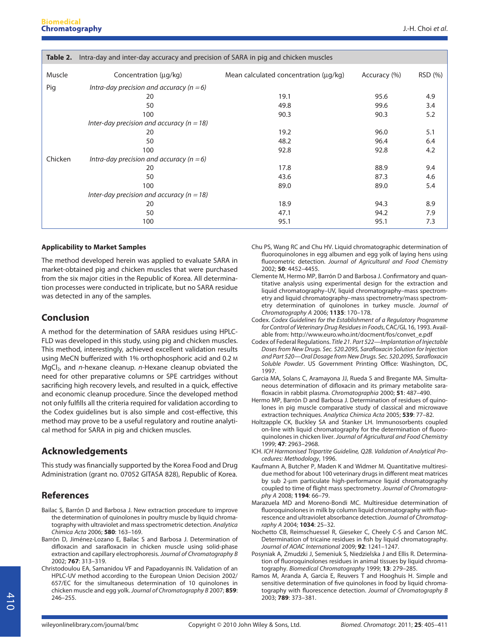| Table 2. | Intra-day and inter-day accuracy and precision of SARA in pig and chicken muscles |                                       |              |         |  |  |  |  |  |
|----------|-----------------------------------------------------------------------------------|---------------------------------------|--------------|---------|--|--|--|--|--|
| Muscle   | Concentration $(\mu q/kg)$                                                        | Mean calculated concentration (µg/kg) | Accuracy (%) | RSD (%) |  |  |  |  |  |
| Pig      | Intra-day precision and accuracy ( $n = 6$ )                                      |                                       |              |         |  |  |  |  |  |
|          | 20                                                                                | 19.1                                  | 95.6         | 4.9     |  |  |  |  |  |
|          | 50                                                                                | 49.8                                  | 99.6         | 3.4     |  |  |  |  |  |
|          | 100                                                                               | 90.3                                  | 90.3         | 5.2     |  |  |  |  |  |
|          | Inter-day precision and accuracy ( $n = 18$ )                                     |                                       |              |         |  |  |  |  |  |
|          | 20                                                                                | 19.2                                  | 96.0         | 5.1     |  |  |  |  |  |
|          | 50                                                                                | 48.2                                  | 96.4         | 6.4     |  |  |  |  |  |
|          | 100                                                                               | 92.8                                  | 92.8         | 4.2     |  |  |  |  |  |
| Chicken  | Intra-day precision and accuracy ( $n = 6$ )                                      |                                       |              |         |  |  |  |  |  |
|          | 20                                                                                | 17.8                                  | 88.9         | 9.4     |  |  |  |  |  |
|          | 50                                                                                | 43.6                                  | 87.3         | 4.6     |  |  |  |  |  |
|          | 100                                                                               | 89.0                                  | 89.0         | 5.4     |  |  |  |  |  |
|          | Inter-day precision and accuracy ( $n = 18$ )                                     |                                       |              |         |  |  |  |  |  |
|          | 20                                                                                | 18.9                                  | 94.3         | 8.9     |  |  |  |  |  |
|          | 50                                                                                | 47.1                                  | 94.2         | 7.9     |  |  |  |  |  |
|          | 100                                                                               | 95.1                                  | 95.1         | 7.3     |  |  |  |  |  |

#### **Applicability to Market Samples**

The method developed herein was applied to evaluate SARA in market-obtained pig and chicken muscles that were purchased from the six major cities in the Republic of Korea. All determination processes were conducted in triplicate, but no SARA residue was detected in any of the samples.

# **Conclusion**

A method for the determination of SARA residues using HPLC-FLD was developed in this study, using pig and chicken muscles. This method, interestingly, achieved excellent validation results using MeCN bufferized with 1% orthophosphoric acid and 0.2 M  $MgCl<sub>2</sub>$ , and *n*-hexane cleanup. *n*-Hexane cleanup obviated the need for other preparative columns or SPE cartridges without sacrificing high recovery levels, and resulted in a quick, effective and economic cleanup procedure. Since the developed method not only fulfills all the criteria required for validation according to the Codex guidelines but is also simple and cost-effective, this method may prove to be a useful regulatory and routine analytical method for SARA in pig and chicken muscles.

# **Acknowledgements**

This study was financially supported by the Korea Food and Drug Administration (grant no. 07052 GITASA 828), Republic of Korea.

# **References**

- Bailac S, Barrón D and Barbosa J. New extraction procedure to improve the determination of quinolones in poultry muscle by liquid chromatography with ultraviolet and mass spectrometric detection. Analytica Chimica Acta 2006; **580**: 163–169.
- Barrón D, Jiménez-Lozano E, Bailac S and Barbosa J. Determination of difloxacin and sarafloxacin in chicken muscle using solid-phase extraction and capillary electrophoresis. Journal of Chromatography B 2002; **767**: 313–319.
- Christodoulou EA, Samanidou VF and Papadoyannis IN. Validation of an HPLC-UV method according to the European Union Decision 2002/ 657/EC for the simultaneous determination of 10 quinolones in chicken muscle and egg yolk. Journal of Chromatography B 2007; **859**: 246–255.
- Chu PS, Wang RC and Chu HV. Liquid chromatographic determination of fluoroquinolones in egg albumen and egg yolk of laying hens using fluorometric detection. Journal of Agricultural and Food Chemistry 2002; **50**: 4452–4455.
- Clemente M, Hermo MP, Barrón D and Barbosa J. Confirmatory and quantitative analysis using experimental design for the extraction and liquid chromatography–UV, liquid chromatography–mass spectrometry and liquid chromatography–mass spectrometry/mass spectrometry determination of quinolones in turkey muscle. Journal of Chromatography A 2006; **1135**: 170–178.
- Codex. Codex Guidelines for the Establishment of a Regulatory Programme for Control of Veterinary Drug Residues in Foods, CAC/GL 16, 1993. Available from: http://www.euro.who.int/docment/fos/convet\_e.pdf
- Codex of Federal Regulations. Title 21. Part 522—Implantation of Injectable Doses from New Drugs. Sec. 520.2095, Sarafloxacin Solution for Injection and Part 520—Oral Dosage from New Drugs. Sec. 520.2095, Sarafloxacin Soluble Powder. US Government Printing Office: Washington, DC, 1997.
- Garcia MA, Solans C, Aramayona JJ, Rueda S and Bregante MA. Simultaneous determination of difloxacin and its primary metabolite sarafloxacin in rabbit plasma. Chromatographia 2000; **51**: 487–490.
- Hermo MP, Barrón D and Barbosa J. Determination of residues of quinolones in pig muscle comparative study of classical and microwave extraction techniques. Analytica Chimica Acta 2005; **539**: 77–82.
- Holtzapple CK, Buckley SA and Stanker LH. Immunosorbents coupled on-line with liquid chromatography for the determination of fluoroquinolones in chicken liver. Journal of Agricultural and Food Chemistry 1999; **47**: 2963–2968.
- ICH. ICH Harmonised Tripartite Guideline, Q2B. Validation of Analytical Procedures: Methodology, 1996.
- Kaufmann A, Butcher P, Maden K and Widmer M. Quantitative multiresidue method for about 100 veterinary drugs in different meat matrices by sub 2-µm particulate high-performance liquid chromatography coupled to time of flight mass spectrometry. Journal of Chromatography A 2008; **1194**: 66–79.
- Marazuela MD and Moreno-Bondi MC. Multiresidue determination of fluoroquinolones in milk by column liquid chromatography with fluorescence and ultraviolet absorbance detection. Journal of Chromatography A 2004; **1034**: 25–32.
- Nochetto CB, Reimschuessel R, Gieseker C, Cheely C-S and Carson MC. Determination of tricaine residues in fish by liquid chromatography. Journal of AOAC International 2009; **92**: 1241–1247.
- Posyniak A, Zmudzki J, Semeniuk S, Niedzielska J and Ellis R. Determination of fluoroquinolones residues in animal tissues by liquid chromatography. Biomedical Chromatography 1999; **13**: 279–285.
- Ramos M, Aranda A, Garcia E, Reuvers T and Hooghuis H. Simple and sensitive determination of five quinolones in food by liquid chromatography with fluorescence detection. Journal of Chromatography B 2003; **789**: 373–381.